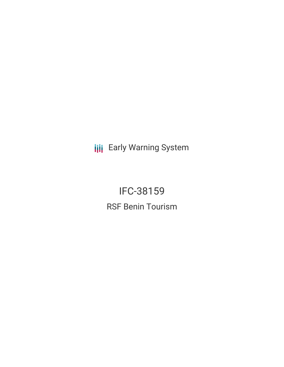**III** Early Warning System

IFC-38159 RSF Benin Tourism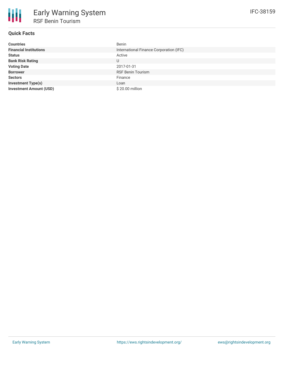# **Quick Facts**

| <b>Countries</b>               | <b>Benin</b>                            |
|--------------------------------|-----------------------------------------|
| <b>Financial Institutions</b>  | International Finance Corporation (IFC) |
| <b>Status</b>                  | Active                                  |
| <b>Bank Risk Rating</b>        | U                                       |
| <b>Voting Date</b>             | 2017-01-31                              |
| <b>Borrower</b>                | <b>RSF Benin Tourism</b>                |
| <b>Sectors</b>                 | Finance                                 |
| <b>Investment Type(s)</b>      | Loan                                    |
| <b>Investment Amount (USD)</b> | \$20.00 million                         |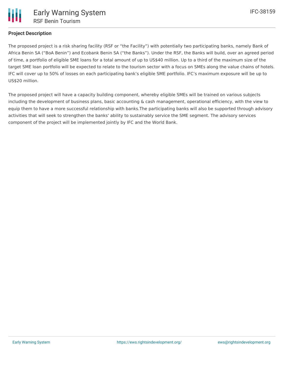

## **Project Description**

The proposed project is a risk sharing facility (RSF or "the Facility") with potentially two participating banks, namely Bank of Africa Benin SA ("BoA Benin") and Ecobank Benin SA ("the Banks"). Under the RSF, the Banks will build, over an agreed period of time, a portfolio of eligible SME loans for a total amount of up to US\$40 million. Up to a third of the maximum size of the target SME loan portfolio will be expected to relate to the tourism sector with a focus on SMEs along the value chains of hotels. IFC will cover up to 50% of losses on each participating bank's eligible SME portfolio. IFC's maximum exposure will be up to US\$20 million.

The proposed project will have a capacity building component, whereby eligible SMEs will be trained on various subjects including the development of business plans, basic accounting & cash management, operational efficiency, with the view to equip them to have a more successful relationship with banks.The participating banks will also be supported through advisory activities that will seek to strengthen the banks' ability to sustainably service the SME segment. The advisory services component of the project will be implemented jointly by IFC and the World Bank.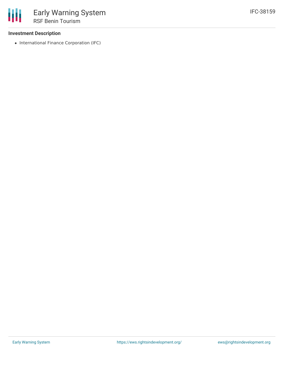### **Investment Description**

• International Finance Corporation (IFC)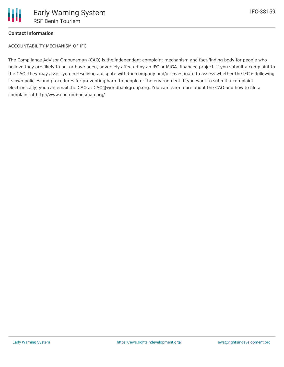### **Contact Information**

ACCOUNTABILITY MECHANISM OF IFC

The Compliance Advisor Ombudsman (CAO) is the independent complaint mechanism and fact-finding body for people who believe they are likely to be, or have been, adversely affected by an IFC or MIGA- financed project. If you submit a complaint to the CAO, they may assist you in resolving a dispute with the company and/or investigate to assess whether the IFC is following its own policies and procedures for preventing harm to people or the environment. If you want to submit a complaint electronically, you can email the CAO at CAO@worldbankgroup.org. You can learn more about the CAO and how to file a complaint at http://www.cao-ombudsman.org/